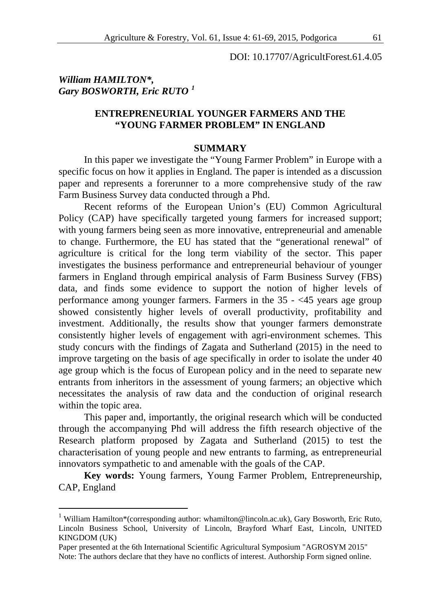DOI: 10.17707/AgricultForest.61.4.05

# *William HAMILTON\*, Gary BOSWORTH, Eric RUTO [1](#page-0-0)*

 $\overline{a}$ 

# **ENTREPRENEURIAL YOUNGER FARMERS AND THE "YOUNG FARMER PROBLEM" IN ENGLAND**

#### **SUMMARY**

In this paper we investigate the "Young Farmer Problem" in Europe with a specific focus on how it applies in England. The paper is intended as a discussion paper and represents a forerunner to a more comprehensive study of the raw Farm Business Survey data conducted through a Phd.

Recent reforms of the European Union's (EU) Common Agricultural Policy (CAP) have specifically targeted young farmers for increased support; with young farmers being seen as more innovative, entrepreneurial and amenable to change. Furthermore, the EU has stated that the "generational renewal" of agriculture is critical for the long term viability of the sector. This paper investigates the business performance and entrepreneurial behaviour of younger farmers in England through empirical analysis of Farm Business Survey (FBS) data, and finds some evidence to support the notion of higher levels of performance among younger farmers. Farmers in the 35 - <45 years age group showed consistently higher levels of overall productivity, profitability and investment. Additionally, the results show that younger farmers demonstrate consistently higher levels of engagement with agri-environment schemes. This study concurs with the findings of Zagata and Sutherland (2015) in the need to improve targeting on the basis of age specifically in order to isolate the under 40 age group which is the focus of European policy and in the need to separate new entrants from inheritors in the assessment of young farmers; an objective which necessitates the analysis of raw data and the conduction of original research within the topic area.

This paper and, importantly, the original research which will be conducted through the accompanying Phd will address the fifth research objective of the Research platform proposed by Zagata and Sutherland (2015) to test the characterisation of young people and new entrants to farming, as entrepreneurial innovators sympathetic to and amenable with the goals of the CAP.

**Key words:** Young farmers, Young Farmer Problem, Entrepreneurship, CAP, England

<span id="page-0-0"></span><sup>&</sup>lt;sup>1</sup> William Hamilton\*(corresponding author: whamilton@lincoln.ac.uk), Gary Bosworth, Eric Ruto, Lincoln Business School, University of Lincoln, Brayford Wharf East, Lincoln, UNITED KINGDOM (UK)

Paper presented at the 6th International Scientific Agricultural Symposium "AGROSYM 2015" Note: The authors declare that they have no conflicts of interest. Authorship Form signed online.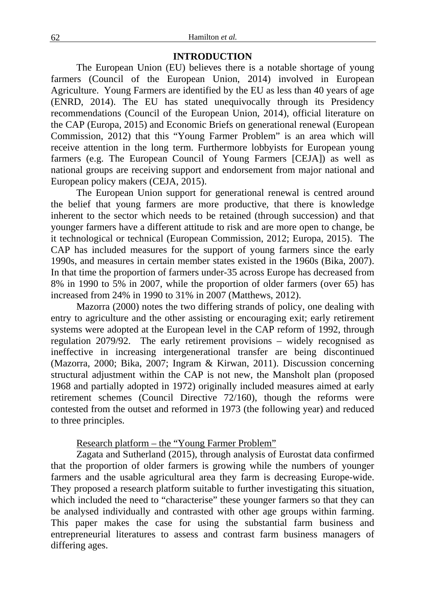## **INTRODUCTION**

The European Union (EU) believes there is a notable shortage of young farmers (Council of the European Union, 2014) involved in European Agriculture. Young Farmers are identified by the EU as less than 40 years of age (ENRD, 2014). The EU has stated unequivocally through its Presidency recommendations (Council of the European Union, 2014), official literature on the CAP (Europa, 2015) and Economic Briefs on generational renewal (European Commission, 2012) that this "Young Farmer Problem" is an area which will receive attention in the long term. Furthermore lobbyists for European young farmers (e.g. The European Council of Young Farmers [CEJA]) as well as national groups are receiving support and endorsement from major national and European policy makers (CEJA, 2015).

The European Union support for generational renewal is centred around the belief that young farmers are more productive, that there is knowledge inherent to the sector which needs to be retained (through succession) and that younger farmers have a different attitude to risk and are more open to change, be it technological or technical (European Commission, 2012; Europa, 2015). The CAP has included measures for the support of young farmers since the early 1990s, and measures in certain member states existed in the 1960s (Bika, 2007). In that time the proportion of farmers under-35 across Europe has decreased from 8% in 1990 to 5% in 2007, while the proportion of older farmers (over 65) has increased from 24% in 1990 to 31% in 2007 (Matthews, 2012).

Mazorra (2000) notes the two differing strands of policy, one dealing with entry to agriculture and the other assisting or encouraging exit; early retirement systems were adopted at the European level in the CAP reform of 1992, through regulation 2079/92. The early retirement provisions – widely recognised as ineffective in increasing intergenerational transfer are being discontinued (Mazorra, 2000; Bika, 2007; Ingram & Kirwan, 2011). Discussion concerning structural adjustment within the CAP is not new, the Mansholt plan (proposed 1968 and partially adopted in 1972) originally included measures aimed at early retirement schemes (Council Directive 72/160), though the reforms were contested from the outset and reformed in 1973 (the following year) and reduced to three principles.

Research platform – the "Young Farmer Problem"

Zagata and Sutherland (2015), through analysis of Eurostat data confirmed that the proportion of older farmers is growing while the numbers of younger farmers and the usable agricultural area they farm is decreasing Europe-wide. They proposed a research platform suitable to further investigating this situation, which included the need to "characterise" these younger farmers so that they can be analysed individually and contrasted with other age groups within farming. This paper makes the case for using the substantial farm business and entrepreneurial literatures to assess and contrast farm business managers of differing ages.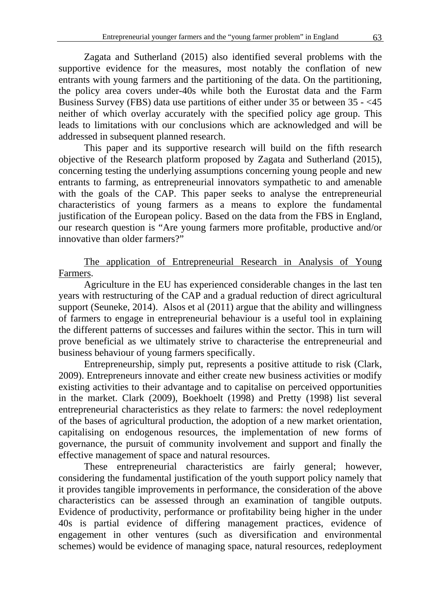Zagata and Sutherland (2015) also identified several problems with the supportive evidence for the measures, most notably the conflation of new entrants with young farmers and the partitioning of the data. On the partitioning, the policy area covers under-40s while both the Eurostat data and the Farm Business Survey (FBS) data use partitions of either under 35 or between 35 - <45 neither of which overlay accurately with the specified policy age group. This leads to limitations with our conclusions which are acknowledged and will be addressed in subsequent planned research.

This paper and its supportive research will build on the fifth research objective of the Research platform proposed by Zagata and Sutherland (2015), concerning testing the underlying assumptions concerning young people and new entrants to farming, as entrepreneurial innovators sympathetic to and amenable with the goals of the CAP. This paper seeks to analyse the entrepreneurial characteristics of young farmers as a means to explore the fundamental justification of the European policy. Based on the data from the FBS in England, our research question is "Are young farmers more profitable, productive and/or innovative than older farmers?"

The application of Entrepreneurial Research in Analysis of Young Farmers.

Agriculture in the EU has experienced considerable changes in the last ten years with restructuring of the CAP and a gradual reduction of direct agricultural support (Seuneke, 2014). Alsos et al (2011) argue that the ability and willingness of farmers to engage in entrepreneurial behaviour is a useful tool in explaining the different patterns of successes and failures within the sector. This in turn will prove beneficial as we ultimately strive to characterise the entrepreneurial and business behaviour of young farmers specifically.

Entrepreneurship, simply put, represents a positive attitude to risk (Clark, 2009). Entrepreneurs innovate and either create new business activities or modify existing activities to their advantage and to capitalise on perceived opportunities in the market. Clark (2009), Boekhoelt (1998) and Pretty (1998) list several entrepreneurial characteristics as they relate to farmers: the novel redeployment of the bases of agricultural production, the adoption of a new market orientation, capitalising on endogenous resources, the implementation of new forms of governance, the pursuit of community involvement and support and finally the effective management of space and natural resources.

These entrepreneurial characteristics are fairly general; however, considering the fundamental justification of the youth support policy namely that it provides tangible improvements in performance, the consideration of the above characteristics can be assessed through an examination of tangible outputs. Evidence of productivity, performance or profitability being higher in the under 40s is partial evidence of differing management practices, evidence of engagement in other ventures (such as diversification and environmental schemes) would be evidence of managing space, natural resources, redeployment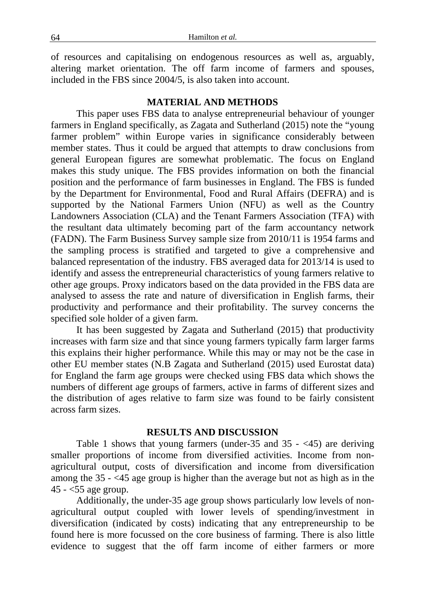of resources and capitalising on endogenous resources as well as, arguably, altering market orientation. The off farm income of farmers and spouses, included in the FBS since 2004/5, is also taken into account.

#### **MATERIAL AND METHODS**

This paper uses FBS data to analyse entrepreneurial behaviour of younger farmers in England specifically, as Zagata and Sutherland (2015) note the "young farmer problem" within Europe varies in significance considerably between member states. Thus it could be argued that attempts to draw conclusions from general European figures are somewhat problematic. The focus on England makes this study unique. The FBS provides information on both the financial position and the performance of farm businesses in England. The FBS is funded by the Department for Environmental, Food and Rural Affairs (DEFRA) and is supported by the National Farmers Union (NFU) as well as the Country Landowners Association (CLA) and the Tenant Farmers Association (TFA) with the resultant data ultimately becoming part of the farm accountancy network (FADN). The Farm Business Survey sample size from 2010/11 is 1954 farms and the sampling process is stratified and targeted to give a comprehensive and balanced representation of the industry. FBS averaged data for 2013/14 is used to identify and assess the entrepreneurial characteristics of young farmers relative to other age groups. Proxy indicators based on the data provided in the FBS data are analysed to assess the rate and nature of diversification in English farms, their productivity and performance and their profitability. The survey concerns the specified sole holder of a given farm.

It has been suggested by Zagata and Sutherland (2015) that productivity increases with farm size and that since young farmers typically farm larger farms this explains their higher performance. While this may or may not be the case in other EU member states (N.B Zagata and Sutherland (2015) used Eurostat data) for England the farm age groups were checked using FBS data which shows the numbers of different age groups of farmers, active in farms of different sizes and the distribution of ages relative to farm size was found to be fairly consistent across farm sizes.

## **RESULTS AND DISCUSSION**

Table 1 shows that young farmers (under-35 and 35 - <45) are deriving smaller proportions of income from diversified activities. Income from nonagricultural output, costs of diversification and income from diversification among the 35 - <45 age group is higher than the average but not as high as in the  $45 - 55$  age group.

Additionally, the under-35 age group shows particularly low levels of nonagricultural output coupled with lower levels of spending/investment in diversification (indicated by costs) indicating that any entrepreneurship to be found here is more focussed on the core business of farming. There is also little evidence to suggest that the off farm income of either farmers or more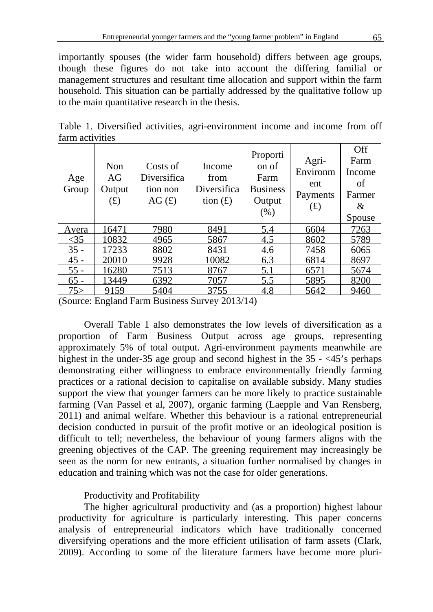importantly spouses (the wider farm household) differs between age groups, though these figures do not take into account the differing familial or management structures and resultant time allocation and support within the farm household. This situation can be partially addressed by the qualitative follow up to the main quantitative research in the thesis.

|                 |  | Table 1. Diversified activities, agri-environment income and income from off |                  |            |  |
|-----------------|--|------------------------------------------------------------------------------|------------------|------------|--|
| farm activities |  |                                                                              |                  |            |  |
|                 |  |                                                                              | $D_{\text{non}}$ | <b>Off</b> |  |

| Age<br>Group | Non<br>AG<br>Output<br>(f) | Costs of<br>Diversifica<br>tion non<br>AG(f) | Income<br>from<br>Diversifica<br>tion $(f)$ | Proporti<br>on of<br>Farm<br><b>Business</b><br>Output<br>(% ) | Agri-<br>Environm<br>ent<br>Payments<br>(f) | UП<br>Farm<br>Income<br>οf<br>Farmer<br>&<br>Spouse |
|--------------|----------------------------|----------------------------------------------|---------------------------------------------|----------------------------------------------------------------|---------------------------------------------|-----------------------------------------------------|
| <b>Avera</b> | 16471                      | 7980                                         | 8491                                        | 5.4                                                            | 6604                                        | 7263                                                |
| $\leq$ 35    | 10832                      | 4965                                         | 5867                                        | 4.5                                                            | 8602                                        | 5789                                                |
| $35 -$       | 17233                      | 8802                                         | 8431                                        | 4.6                                                            | 7458                                        | 6065                                                |
| $45 -$       | 20010                      | 9928                                         | 10082                                       | 6.3                                                            | 6814                                        | 8697                                                |
| $55 -$       | 16280                      | 7513                                         | 8767                                        | 5.1                                                            | 6571                                        | 5674                                                |
| $65 -$       | 13449                      | 6392                                         | 7057                                        | 5.5                                                            | 5895                                        | 8200                                                |
| 75 >         | 9159                       | 5404                                         | 3755                                        | 4.8                                                            | 5642                                        | 9460                                                |

(Source: England Farm Business Survey 2013/14)

Overall Table 1 also demonstrates the low levels of diversification as a proportion of Farm Business Output across age groups, representing approximately 5% of total output. Agri-environment payments meanwhile are highest in the under-35 age group and second highest in the 35 - <45's perhaps demonstrating either willingness to embrace environmentally friendly farming practices or a rational decision to capitalise on available subsidy. Many studies support the view that younger farmers can be more likely to practice sustainable farming (Van Passel et al, 2007), organic farming (Laepple and Van Rensberg, 2011) and animal welfare. Whether this behaviour is a rational entrepreneurial decision conducted in pursuit of the profit motive or an ideological position is difficult to tell; nevertheless, the behaviour of young farmers aligns with the greening objectives of the CAP. The greening requirement may increasingly be seen as the norm for new entrants, a situation further normalised by changes in education and training which was not the case for older generations.

## Productivity and Profitability

The higher agricultural productivity and (as a proportion) highest labour productivity for agriculture is particularly interesting. This paper concerns analysis of entrepreneurial indicators which have traditionally concerned diversifying operations and the more efficient utilisation of farm assets (Clark, 2009). According to some of the literature farmers have become more pluri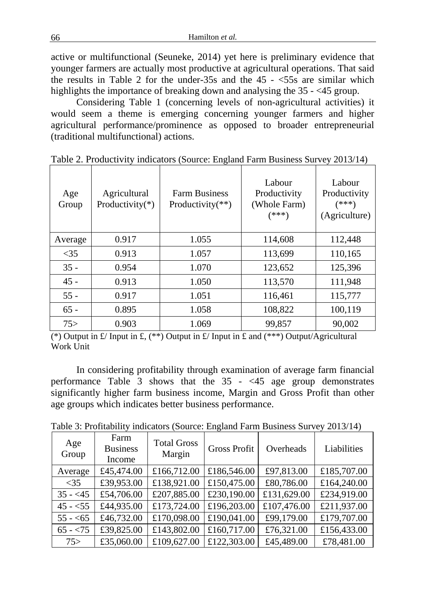active or multifunctional (Seuneke, 2014) yet here is preliminary evidence that younger farmers are actually most productive at agricultural operations. That said the results in Table 2 for the under-35s and the  $45 - \le 55$ s are similar which highlights the importance of breaking down and analysing the 35 - <45 group.

Considering Table 1 (concerning levels of non-agricultural activities) it would seem a theme is emerging concerning younger farmers and higher agricultural performance/prominence as opposed to broader entrepreneurial (traditional multifunctional) actions.

| Age<br>Group | Agricultural<br>Productivity(*) | <b>Farm Business</b><br>Productivity(**) | Labour<br>Productivity<br>(Whole Farm)<br>(***) | Labour<br>Productivity<br>(***)<br>(Agriculture) |
|--------------|---------------------------------|------------------------------------------|-------------------------------------------------|--------------------------------------------------|
| Average      | 0.917                           | 1.055                                    | 114,608                                         | 112,448                                          |
| < 35         | 0.913                           | 1.057                                    | 113,699                                         | 110,165                                          |
| $35 -$       | 0.954                           | 1.070                                    | 123,652                                         | 125,396                                          |
| $45 -$       | 0.913                           | 1.050                                    | 113,570                                         | 111,948                                          |
| $55 -$       | 0.917                           | 1.051                                    | 116,461                                         | 115,777                                          |
| $65 -$       | 0.895                           | 1.058                                    | 108,822                                         | 100,119                                          |
| 75           | 0.903                           | 1.069                                    | 99.857                                          | 90,002                                           |

Table 2. Productivity indicators (Source: England Farm Business Survey 2013/14)

(\*) Output in £/ Input in £, (\*\*) Output in £/ Input in £ and (\*\*\*) Output/Agricultural Work Unit

In considering profitability through examination of average farm financial performance Table  $\overline{3}$  shows that the  $\overline{35}$  - <45 age group demonstrates significantly higher farm business income, Margin and Gross Profit than other age groups which indicates better business performance.

| Age<br>Group | Farm<br><b>Business</b><br>Income | <b>Total Gross</b><br>Margin | <b>Gross Profit</b> | Overheads   | Liabilities |
|--------------|-----------------------------------|------------------------------|---------------------|-------------|-------------|
| Average      | £45,474.00                        | £166,712.00                  | £186,546.00         | £97,813.00  | £185,707.00 |
| $<$ 35       | £39,953.00                        | £138,921.00                  | £150,475.00         | £80,786.00  | £164,240.00 |
| $35 - 45$    | £54,706.00                        | £207,885.00                  | £230,190.00         | £131,629.00 | £234,919.00 |
| $45 - 55$    | £44,935.00                        | £173,724.00                  | £196,203.00         | £107,476.00 | £211,937.00 |
| $55 - 55$    | £46,732.00                        | £170,098.00                  | £190,041.00         | £99,179.00  | £179,707.00 |
| $65 - 75$    | £39,825.00                        | £143,802.00                  | £160,717.00         | £76,321.00  | £156,433.00 |
| 75           | £35,060.00                        | £109,627.00                  | £122,303.00         | £45,489.00  | £78,481.00  |

Table 3: Profitability indicators (Source: England Farm Business Survey 2013/14)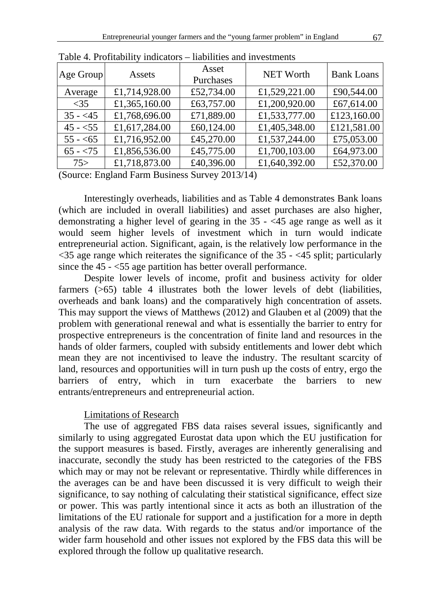| Age Group | Assets        | Asset<br>Purchases | <b>NET Worth</b> | <b>Bank Loans</b> |
|-----------|---------------|--------------------|------------------|-------------------|
| Average   | £1,714,928.00 | £52,734.00         | £1,529,221.00    | £90,544.00        |
| $\leq$ 35 | £1,365,160.00 | £63,757.00         | £1,200,920.00    | £67,614.00        |
| $35 - 45$ | £1,768,696.00 | £71,889.00         | £1,533,777.00    | £123,160.00       |
| $45 - 55$ | £1,617,284.00 | £60,124.00         | £1,405,348.00    | £121,581.00       |
| $55 - 55$ | £1,716,952.00 | £45,270.00         | £1,537,244.00    | £75,053.00        |
| $65 - 75$ | £1,856,536.00 | £45,775.00         | £1,700,103.00    | £64,973.00        |
| 75        | £1,718,873.00 | £40,396.00         | £1,640,392.00    | £52,370.00        |

Table 4. Profitability indicators – liabilities and investments

(Source: England Farm Business Survey 2013/14)

Interestingly overheads, liabilities and as Table 4 demonstrates Bank loans (which are included in overall liabilities) and asset purchases are also higher, demonstrating a higher level of gearing in the 35 - <45 age range as well as it would seem higher levels of investment which in turn would indicate entrepreneurial action. Significant, again, is the relatively low performance in the  $\leq$ 35 age range which reiterates the significance of the 35 -  $\leq$ 45 split; particularly since the 45 - <55 age partition has better overall performance.

Despite lower levels of income, profit and business activity for older farmers (>65) table 4 illustrates both the lower levels of debt (liabilities, overheads and bank loans) and the comparatively high concentration of assets. This may support the views of Matthews (2012) and Glauben et al (2009) that the problem with generational renewal and what is essentially the barrier to entry for prospective entrepreneurs is the concentration of finite land and resources in the hands of older farmers, coupled with subsidy entitlements and lower debt which mean they are not incentivised to leave the industry. The resultant scarcity of land, resources and opportunities will in turn push up the costs of entry, ergo the barriers of entry, which in turn exacerbate the barriers to new entrants/entrepreneurs and entrepreneurial action.

### Limitations of Research

The use of aggregated FBS data raises several issues, significantly and similarly to using aggregated Eurostat data upon which the EU justification for the support measures is based. Firstly, averages are inherently generalising and inaccurate, secondly the study has been restricted to the categories of the FBS which may or may not be relevant or representative. Thirdly while differences in the averages can be and have been discussed it is very difficult to weigh their significance, to say nothing of calculating their statistical significance, effect size or power. This was partly intentional since it acts as both an illustration of the limitations of the EU rationale for support and a justification for a more in depth analysis of the raw data. With regards to the status and/or importance of the wider farm household and other issues not explored by the FBS data this will be explored through the follow up qualitative research.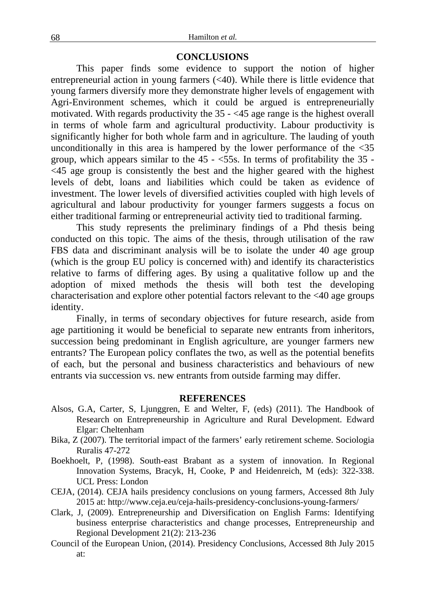### **CONCLUSIONS**

This paper finds some evidence to support the notion of higher entrepreneurial action in young farmers (<40). While there is little evidence that young farmers diversify more they demonstrate higher levels of engagement with Agri-Environment schemes, which it could be argued is entrepreneurially motivated. With regards productivity the 35 - <45 age range is the highest overall in terms of whole farm and agricultural productivity. Labour productivity is significantly higher for both whole farm and in agriculture. The lauding of youth unconditionally in this area is hampered by the lower performance of the  $\langle 35 \rangle$ group, which appears similar to the  $45 - 55s$ . In terms of profitability the  $35 - 55s$ . <45 age group is consistently the best and the higher geared with the highest levels of debt, loans and liabilities which could be taken as evidence of investment. The lower levels of diversified activities coupled with high levels of agricultural and labour productivity for younger farmers suggests a focus on either traditional farming or entrepreneurial activity tied to traditional farming.

This study represents the preliminary findings of a Phd thesis being conducted on this topic. The aims of the thesis, through utilisation of the raw FBS data and discriminant analysis will be to isolate the under 40 age group (which is the group EU policy is concerned with) and identify its characteristics relative to farms of differing ages. By using a qualitative follow up and the adoption of mixed methods the thesis will both test the developing characterisation and explore other potential factors relevant to the <40 age groups identity.

Finally, in terms of secondary objectives for future research, aside from age partitioning it would be beneficial to separate new entrants from inheritors, succession being predominant in English agriculture, are younger farmers new entrants? The European policy conflates the two, as well as the potential benefits of each, but the personal and business characteristics and behaviours of new entrants via succession vs. new entrants from outside farming may differ.

#### **REFERENCES**

- Alsos, G.A, Carter, S, Ljunggren, E and Welter, F, (eds) (2011). The Handbook of Research on Entrepreneurship in Agriculture and Rural Development. Edward Elgar: Cheltenham
- Bika, Z (2007). The territorial impact of the farmers' early retirement scheme. Sociologia Ruralis 47-272
- Boekhoelt, P, (1998). South-east Brabant as a system of innovation. In Regional Innovation Systems, Bracyk, H, Cooke, P and Heidenreich, M (eds): 322-338. UCL Press: London
- CEJA, (2014). CEJA hails presidency conclusions on young farmers, Accessed 8th July 2015 at: http://www.ceja.eu/ceja-hails-presidency-conclusions-young-farmers/
- Clark, J, (2009). Entrepreneurship and Diversification on English Farms: Identifying business enterprise characteristics and change processes, Entrepreneurship and Regional Development 21(2): 213-236
- Council of the European Union, (2014). Presidency Conclusions, Accessed 8th July 2015 at: